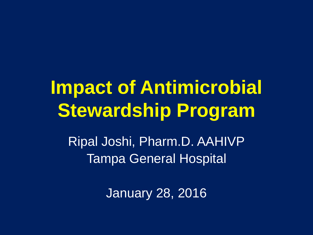## **Impact of Antimicrobial Stewardship Program**

Ripal Joshi, Pharm.D. AAHIVP Tampa General Hospital

January 28, 2016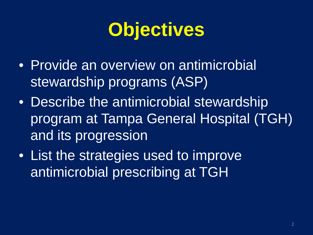#### **Objectives**

- Provide an overview on antimicrobial stewardship programs (ASP)
- Describe the antimicrobial stewardship program at Tampa General Hospital (TGH) and its progression
- List the strategies used to improve antimicrobial prescribing at TGH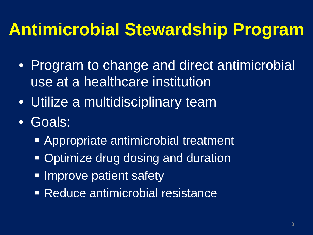#### **Antimicrobial Stewardship Program**

- Program to change and direct antimicrobial use at a healthcare institution
- Utilize a multidisciplinary team
- Goals:
	- Appropriate antimicrobial treatment
	- Optimize drug dosing and duration
	- Improve patient safety
	- Reduce antimicrobial resistance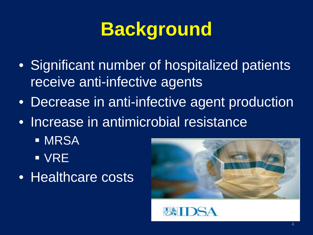#### **Background**

- Significant number of hospitalized patients receive anti-infective agents
- Decrease in anti-infective agent production
- Increase in antimicrobial resistance
	- **MRSA** VRE
- Healthcare costs



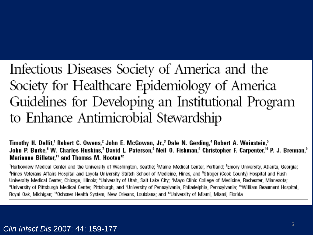#### Infectious Diseases Society of America and the Society for Healthcare Epidemiology of America Guidelines for Developing an Institutional Program to Enhance Antimicrobial Stewardship

"Timothy H. Dellit," Robert C. Owens,<sup>2</sup> John E. McGowan, Jr.,<sup>3</sup> Dale N. Gerding,<sup>4</sup> Robert A. Weinstein, John P. Burke,<sup>6</sup> W. Charles Huskins,<sup>7</sup> David L. Paterson,<sup>8</sup> Neil O. Fishman,<sup>9</sup> Christopher F. Carpenter,<sup>10</sup> P. J. Brennan,<sup>9</sup> Marianne Billeter,<sup>11</sup> and Thomas M. Hooton<sup>12</sup>

'Harborview Medical Center and the University of Washington, Seattle; <sup>2</sup>Maine Medical Center, Portland; <sup>3</sup>Emory University, Atlanta, Georgia; <sup>4</sup>Hines Veterans Affairs Hospital and Loyola University Stritch School of Medicine, Hines, and <sup>s</sup>Stroger (Cook County) Hospital and Rush University Medical Center, Chicago, Illinois; <sup>e</sup>University of Utah, Salt Lake City; 'Mayo Clinic College of Medicine, Rochester, Minnesota; <sup>a</sup>University of Pittsburgh Medical Center, Pittsburgh, and <sup>a</sup>University of Pennsylvania, Philadelphia, Pennsylvania; <sup>ro</sup>William Beaumont Hospital, Royal Oak, Michigan: "Ochsner Health System, New Orleans, Louisiana; and "University of Miami, Miami, Florida

#### *Clin Infect Dis* 2007; 44: 159-177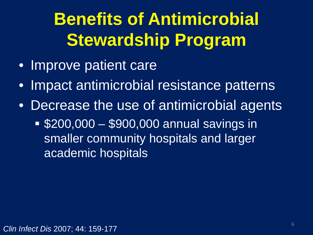#### **Benefits of Antimicrobial Stewardship Program**

- Improve patient care
- Impact antimicrobial resistance patterns
- Decrease the use of antimicrobial agents
	- \$200,000 \$900,000 annual savings in smaller community hospitals and larger academic hospitals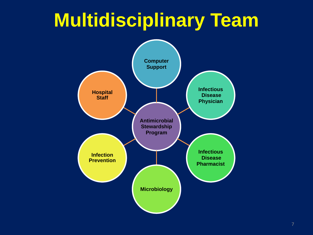#### **Multidisciplinary Team**

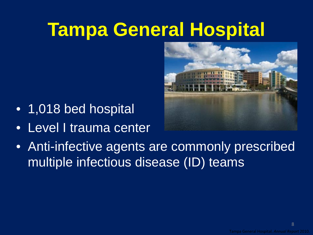#### **Tampa General Hospital**



- 1,018 bed hospital
- Level I trauma center
- Anti-infective agents are commonly prescribed multiple infectious disease (ID) teams

8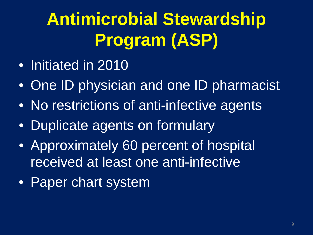#### **Antimicrobial Stewardship Program (ASP)**

- Initiated in 2010
- One ID physician and one ID pharmacist
- No restrictions of anti-infective agents
- Duplicate agents on formulary
- Approximately 60 percent of hospital received at least one anti-infective
- Paper chart system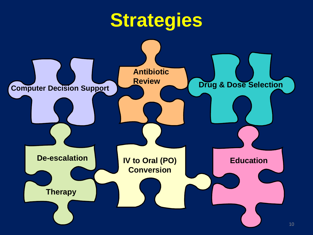#### **Strategies**

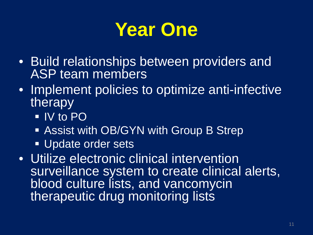

- Build relationships between providers and ASP team members
- Implement policies to optimize anti-infective therapy
	- IV to PO
	- **Assist with OB/GYN with Group B Strep**
	- **Update order sets**
- Utilize electronic clinical intervention surveillance system to create clinical alerts, blood culture lists, and vancomycin therapeutic drug monitoring lists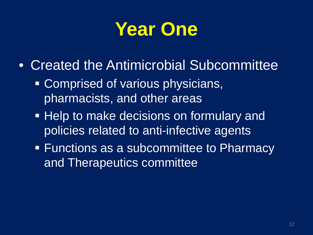#### **Year One**

- Created the Antimicrobial Subcommittee
	- Comprised of various physicians, pharmacists, and other areas
	- **Help to make decisions on formulary and** policies related to anti-infective agents
	- **Functions as a subcommittee to Pharmacy** and Therapeutics committee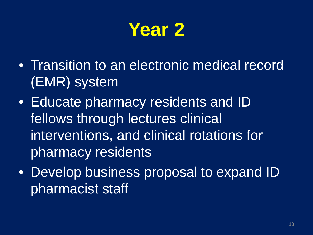

- Transition to an electronic medical record (EMR) system
- Educate pharmacy residents and ID fellows through lectures clinical interventions, and clinical rotations for pharmacy residents
- Develop business proposal to expand ID pharmacist staff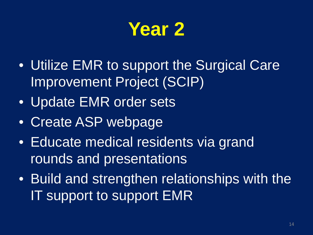

- Utilize EMR to support the Surgical Care Improvement Project (SCIP)
- Update EMR order sets
- Create ASP webpage
- Educate medical residents via grand rounds and presentations
- Build and strengthen relationships with the IT support to support EMR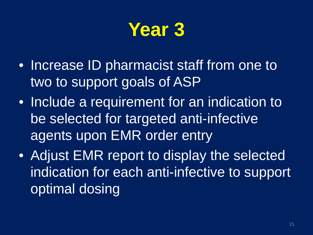

- Increase ID pharmacist staff from one to two to support goals of ASP
- Include a requirement for an indication to be selected for targeted anti-infective agents upon EMR order entry
- Adjust EMR report to display the selected indication for each anti-infective to support optimal dosing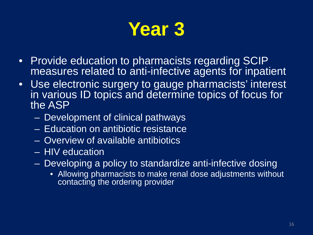

- Provide education to pharmacists regarding SCIP measures related to anti-infective agents for inpatient
- Use electronic surgery to gauge pharmacists' interest in various ID topics and determine topics of focus for the ASP
	- Development of clinical pathways
	- Education on antibiotic resistance
	- Overview of available antibiotics
	- HIV education
	- Developing a policy to standardize anti-infective dosing
		- Allowing pharmacists to make renal dose adjustments without contacting the ordering provider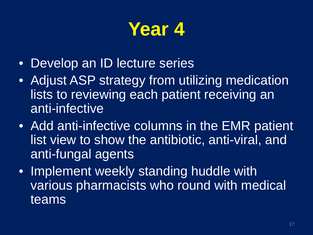#### **Year 4**

- Develop an ID lecture series
- Adjust ASP strategy from utilizing medication lists to reviewing each patient receiving an anti-infective
- Add anti-infective columns in the EMR patient list view to show the antibiotic, anti-viral, and anti-fungal agents
- Implement weekly standing huddle with various pharmacists who round with medical teams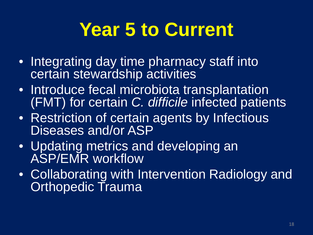#### **Year 5 to Current**

- Integrating day time pharmacy staff into certain stewardship activities
- Introduce fecal microbiota transplantation (FMT) for certain *C. difficile* infected patients
- Restriction of certain agents by Infectious Diseases and/or ASP
- Updating metrics and developing an ASP/EMR workflow
- Collaborating with Intervention Radiology and **Orthopedic Trauma**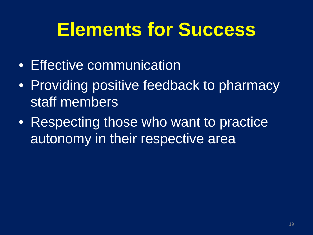#### **Elements for Success**

- Effective communication
- Providing positive feedback to pharmacy staff members
- Respecting those who want to practice autonomy in their respective area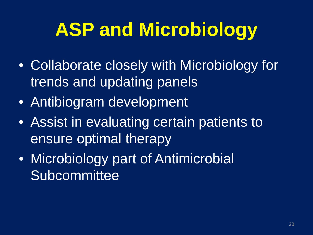## **ASP and Microbiology**

- Collaborate closely with Microbiology for trends and updating panels
- Antibiogram development
- Assist in evaluating certain patients to ensure optimal therapy
- Microbiology part of Antimicrobial **Subcommittee**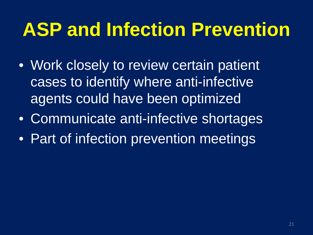#### **ASP and Infection Prevention**

- Work closely to review certain patient cases to identify where anti-infective agents could have been optimized
- Communicate anti-infective shortages
- Part of infection prevention meetings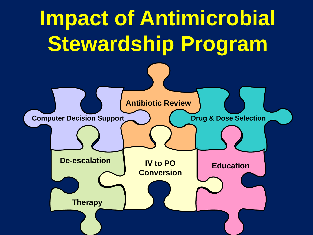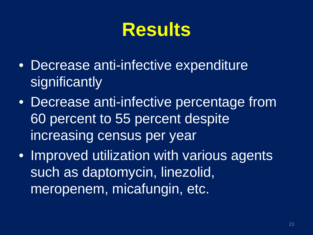#### **Results**

- Decrease anti-infective expenditure significantly
- Decrease anti-infective percentage from 60 percent to 55 percent despite increasing census per year
- Improved utilization with various agents such as daptomycin, linezolid, meropenem, micafungin, etc.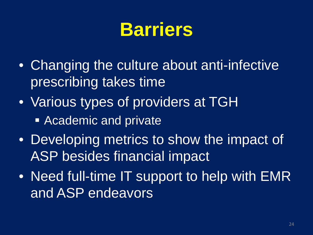#### **Barriers**

- Changing the culture about anti-infective prescribing takes time
- Various types of providers at TGH
	- **Academic and private**
- Developing metrics to show the impact of ASP besides financial impact
- Need full-time IT support to help with EMR and ASP endeavors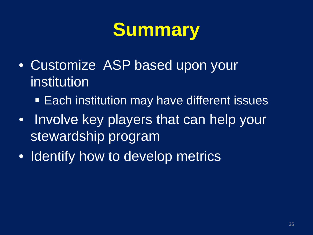#### **Summary**

- Customize ASP based upon your institution
	- **Each institution may have different issues**
- Involve key players that can help your stewardship program
- Identify how to develop metrics